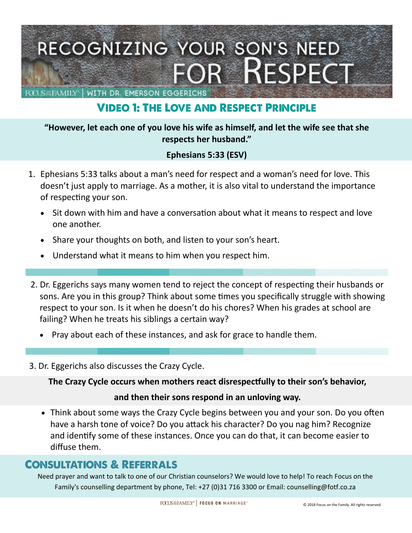

# **VIDEO 1: THE LOVE AND RESPECT PRINCIPLE**

#### **"However, let each one of you love his wife as himself, and let the wife see that she respects her husband."**

### **Ephesians 5:33 (ESV)**

- 1. Ephesians 5:33 talks about a man's need for respect and a woman's need for love. This doesn't just apply to marriage. As a mother, it is also vital to understand the importance of respecting your son.
	- Sit down with him and have a conversation about what it means to respect and love one another.
	- Share your thoughts on both, and listen to your son's heart.
	- Understand what it means to him when you respect him.
- 2. Dr. Eggerichs says many women tend to reject the concept of respecting their husbands or sons. Are you in this group? Think about some times you specifically struggle with showing respect to your son. Is it when he doesn't do his chores? When his grades at school are failing? When he treats his siblings a certain way?
	- Pray about each of these instances, and ask for grace to handle them.
- 3. Dr. Eggerichs also discusses the Crazy Cycle.

**The Crazy Cycle occurs when mothers react disrespectfully to their son's behavior,** 

#### **and then their sons respond in an unloving way.**

 Think about some ways the Crazy Cycle begins between you and your son. Do you often have a harsh tone of voice? Do you attack his character? Do you nag him? Recognize and identify some of these instances. Once you can do that, it can become easier to diffuse them.

### **CONSULTATIONS & REFERRALS**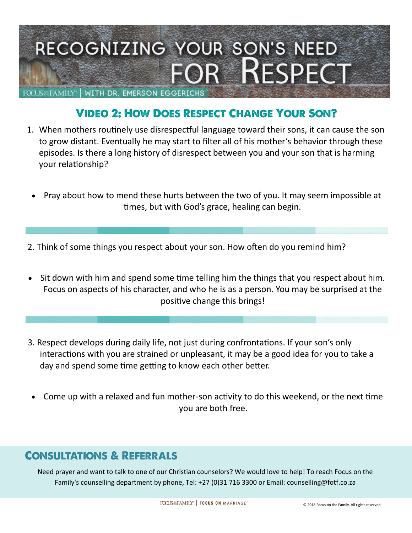

# **VIDEO 2: HOW DOES RESPECT CHANGE YOUR SON?**

- 1. When mothers routinely use disrespectful language toward their sons, it can cause the son to grow distant. Eventually he may start to filter all of his mother's behavior through these episodes. Is there a long history of disrespect between you and your son that is harming your relationship?
	- Pray about how to mend these hurts between the two of you. It may seem impossible at times, but with God's grace, healing can begin.
- 2. Think of some things you respect about your son. How often do you remind him?
- Sit down with him and spend some time telling him the things that you respect about him. Focus on aspects of his character, and who he is as a person. You may be surprised at the positive change this brings!
- 3. Respect develops during daily life, not just during confrontations. If your son's only interactions with you are strained or unpleasant, it may be a good idea for you to take a day and spend some time getting to know each other better.
- Come up with a relaxed and fun mother-son activity to do this weekend, or the next time you are both free.

### **CONSULTATIONS & REFERRALS**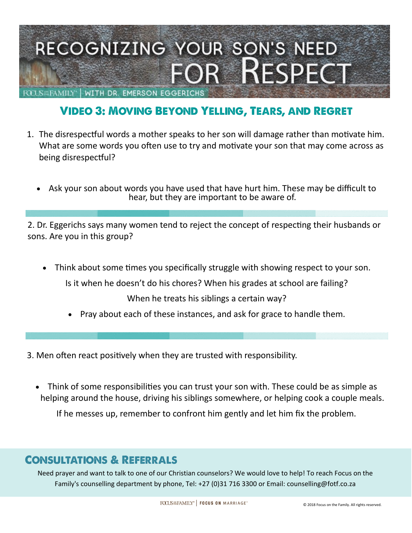

# **VIDEO 3: MOVING BEYOND YELLING, TEARS, AND REGRET**

- 1. The disrespectful words a mother speaks to her son will damage rather than motivate him. What are some words you often use to try and motivate your son that may come across as being disrespectful?
	- Ask your son about words you have used that have hurt him. These may be difficult to hear, but they are important to be aware of.

2. Dr. Eggerichs says many women tend to reject the concept of respecting their husbands or sons. Are you in this group?

Think about some times you specifically struggle with showing respect to your son.

Is it when he doesn't do his chores? When his grades at school are failing?

When he treats his siblings a certain way?

- Pray about each of these instances, and ask for grace to handle them.
- 3. Men often react positively when they are trusted with responsibility.
	- Think of some responsibilities you can trust your son with. These could be as simple as helping around the house, driving his siblings somewhere, or helping cook a couple meals.

If he messes up, remember to confront him gently and let him fix the problem.

### **CONSULTATIONS & REFERRALS**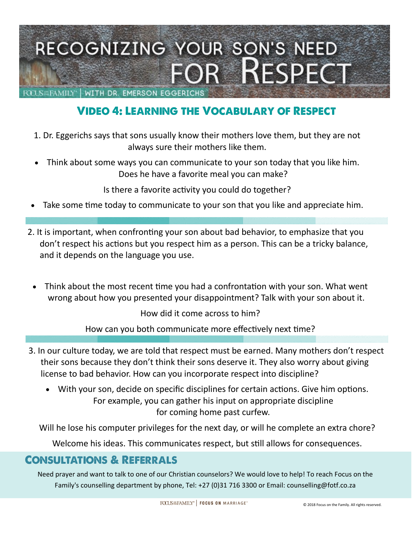

### **VIDEO 4: LEARNING THE VOCABULARY OF RESPECT**

- 1. Dr. Eggerichs says that sons usually know their mothers love them, but they are not always sure their mothers like them.
- Think about some ways you can communicate to your son today that you like him. Does he have a favorite meal you can make?

Is there a favorite activity you could do together?

- Take some time today to communicate to your son that you like and appreciate him.
- 2. It is important, when confronting your son about bad behavior, to emphasize that you don't respect his actions but you respect him as a person. This can be a tricky balance, and it depends on the language you use.
	- Think about the most recent time you had a confrontation with your son. What went wrong about how you presented your disappointment? Talk with your son about it.

How did it come across to him?

How can you both communicate more effectively next time?

- 3. In our culture today, we are told that respect must be earned. Many mothers don't respect their sons because they don't think their sons deserve it. They also worry about giving license to bad behavior. How can you incorporate respect into discipline?
	- With your son, decide on specific disciplines for certain actions. Give him options. For example, you can gather his input on appropriate discipline for coming home past curfew.

Will he lose his computer privileges for the next day, or will he complete an extra chore?

Welcome his ideas. This communicates respect, but still allows for consequences.

### **CONSULTATIONS & REFERRALS**